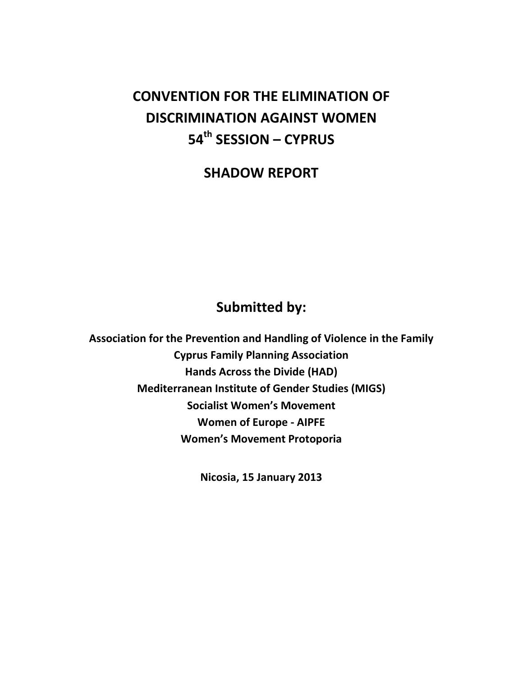# **CONVENTION FOR THE ELIMINATION OF DISCRIMINATION AGAINST WOMEN 54th SESSION – CYPRUS**

**SHADOW REPORT** 

## **Submitted by:**

**Association for the Prevention and Handling of Violence in the Family Cyprus Family Planning Association Hands Across the Divide (HAD) Mediterranean Institute of Gender Studies (MIGS) Socialist Women's Movement Women of Europe - AIPFE Women's Movement Protoporia** 

**Nicosia, 15 January 2013**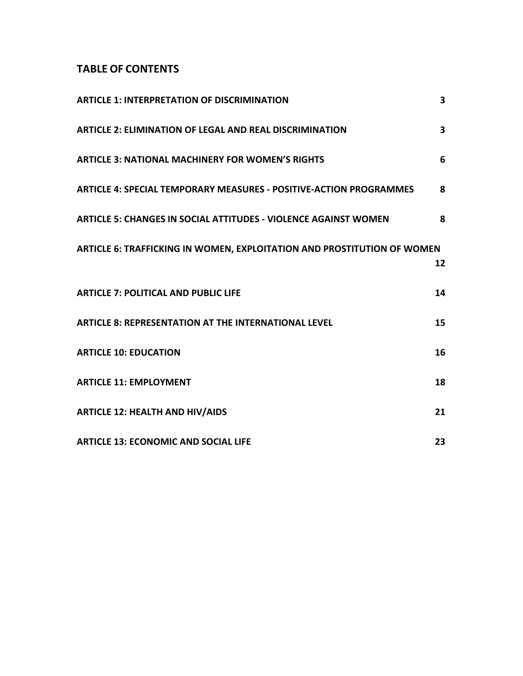### **TABLE OF CONTENTS**

| <b>ARTICLE 1: INTERPRETATION OF DISCRIMINATION</b>                             | 3  |
|--------------------------------------------------------------------------------|----|
| <b>ARTICLE 2: ELIMINATION OF LEGAL AND REAL DISCRIMINATION</b>                 | 3  |
| <b>ARTICLE 3: NATIONAL MACHINERY FOR WOMEN'S RIGHTS</b>                        | 6  |
| <b>ARTICLE 4: SPECIAL TEMPORARY MEASURES - POSITIVE-ACTION PROGRAMMES</b>      | 8  |
| <b>ARTICLE 5: CHANGES IN SOCIAL ATTITUDES - VIOLENCE AGAINST WOMEN</b>         | 8  |
| <b>ARTICLE 6: TRAFFICKING IN WOMEN, EXPLOITATION AND PROSTITUTION OF WOMEN</b> | 12 |
| <b>ARTICLE 7: POLITICAL AND PUBLIC LIFE</b>                                    | 14 |
| <b>ARTICLE 8: REPRESENTATION AT THE INTERNATIONAL LEVEL</b>                    | 15 |
| <b>ARTICLE 10: EDUCATION</b>                                                   | 16 |
| <b>ARTICLE 11: EMPLOYMENT</b>                                                  | 18 |
| <b>ARTICLE 12: HEALTH AND HIV/AIDS</b>                                         | 21 |
| <b>ARTICLE 13: ECONOMIC AND SOCIAL LIFE</b>                                    | 23 |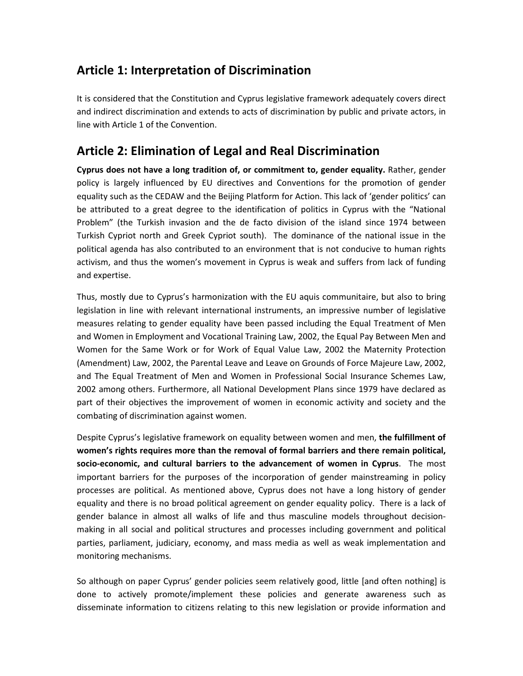## **Article 1: Interpretation of Discrimination**

It is considered that the Constitution and Cyprus legislative framework adequately covers direct and indirect discrimination and extends to acts of discrimination by public and private actors, in line with Article 1 of the Convention.

## **Article 2: Elimination of Legal and Real Discrimination**

**Cyprus does not have a long tradition of, or commitment to, gender equality.** Rather, gender policy is largely influenced by EU directives and Conventions for the promotion of gender equality such as the CEDAW and the Beijing Platform for Action. This lack of 'gender politics' can be attributed to a great degree to the identification of politics in Cyprus with the "National Problem" (the Turkish invasion and the de facto division of the island since 1974 between Turkish Cypriot north and Greek Cypriot south). The dominance of the national issue in the political agenda has also contributed to an environment that is not conducive to human rights activism, and thus the women's movement in Cyprus is weak and suffers from lack of funding and expertise.

Thus, mostly due to Cyprus's harmonization with the EU aquis communitaire, but also to bring legislation in line with relevant international instruments, an impressive number of legislative measures relating to gender equality have been passed including the Equal Treatment of Men and Women in Employment and Vocational Training Law, 2002, the Equal Pay Between Men and Women for the Same Work or for Work of Equal Value Law, 2002 the Maternity Protection (Amendment) Law, 2002, the Parental Leave and Leave on Grounds of Force Majeure Law, 2002, and The Equal Treatment of Men and Women in Professional Social Insurance Schemes Law, 2002 among others. Furthermore, all National Development Plans since 1979 have declared as part of their objectives the improvement of women in economic activity and society and the combating of discrimination against women.

Despite Cyprus's legislative framework on equality between women and men, **the fulfillment of women's rights requires more than the removal of formal barriers and there remain political, socio-economic, and cultural barriers to the advancement of women in Cyprus**. The most important barriers for the purposes of the incorporation of gender mainstreaming in policy processes are political. As mentioned above, Cyprus does not have a long history of gender equality and there is no broad political agreement on gender equality policy. There is a lack of gender balance in almost all walks of life and thus masculine models throughout decisionmaking in all social and political structures and processes including government and political parties, parliament, judiciary, economy, and mass media as well as weak implementation and monitoring mechanisms.

So although on paper Cyprus' gender policies seem relatively good, little [and often nothing] is done to actively promote/implement these policies and generate awareness such as disseminate information to citizens relating to this new legislation or provide information and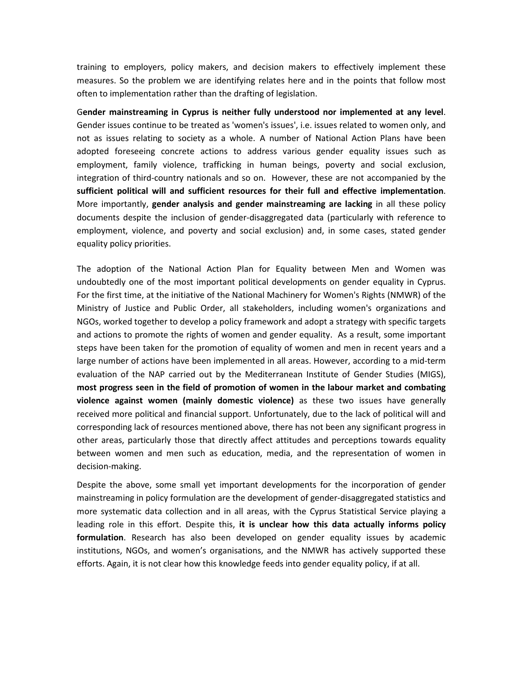training to employers, policy makers, and decision makers to effectively implement these measures. So the problem we are identifying relates here and in the points that follow most often to implementation rather than the drafting of legislation.

G**ender mainstreaming in Cyprus is neither fully understood nor implemented at any level**. Gender issues continue to be treated as 'women's issues', i.e. issues related to women only, and not as issues relating to society as a whole. A number of National Action Plans have been adopted foreseeing concrete actions to address various gender equality issues such as employment, family violence, trafficking in human beings, poverty and social exclusion, integration of third-country nationals and so on. However, these are not accompanied by the **sufficient political will and sufficient resources for their full and effective implementation**. More importantly, **gender analysis and gender mainstreaming are lacking** in all these policy documents despite the inclusion of gender-disaggregated data (particularly with reference to employment, violence, and poverty and social exclusion) and, in some cases, stated gender equality policy priorities.

The adoption of the National Action Plan for Equality between Men and Women was undoubtedly one of the most important political developments on gender equality in Cyprus. For the first time, at the initiative of the National Machinery for Women's Rights (NMWR) of the Ministry of Justice and Public Order, all stakeholders, including women's organizations and NGOs, worked together to develop a policy framework and adopt a strategy with specific targets and actions to promote the rights of women and gender equality. As a result, some important steps have been taken for the promotion of equality of women and men in recent years and a large number of actions have been implemented in all areas. However, according to a mid-term evaluation of the NAP carried out by the Mediterranean Institute of Gender Studies (MIGS), **most progress seen in the field of promotion of women in the labour market and combating violence against women (mainly domestic violence)** as these two issues have generally received more political and financial support. Unfortunately, due to the lack of political will and corresponding lack of resources mentioned above, there has not been any significant progress in other areas, particularly those that directly affect attitudes and perceptions towards equality between women and men such as education, media, and the representation of women in decision-making.

Despite the above, some small yet important developments for the incorporation of gender mainstreaming in policy formulation are the development of gender-disaggregated statistics and more systematic data collection and in all areas, with the Cyprus Statistical Service playing a leading role in this effort. Despite this, **it is unclear how this data actually informs policy formulation**. Research has also been developed on gender equality issues by academic institutions, NGOs, and women's organisations, and the NMWR has actively supported these efforts. Again, it is not clear how this knowledge feeds into gender equality policy, if at all.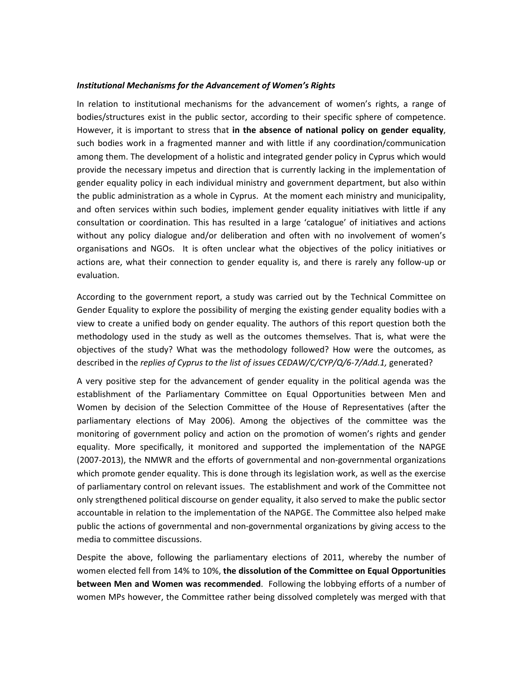#### *Institutional Mechanisms for the Advancement of Women's Rights*

In relation to institutional mechanisms for the advancement of women's rights, a range of bodies/structures exist in the public sector, according to their specific sphere of competence. However, it is important to stress that **in the absence of national policy on gender equality**, such bodies work in a fragmented manner and with little if any coordination/communication among them. The development of a holistic and integrated gender policy in Cyprus which would provide the necessary impetus and direction that is currently lacking in the implementation of gender equality policy in each individual ministry and government department, but also within the public administration as a whole in Cyprus. At the moment each ministry and municipality, and often services within such bodies, implement gender equality initiatives with little if any consultation or coordination. This has resulted in a large 'catalogue' of initiatives and actions without any policy dialogue and/or deliberation and often with no involvement of women's organisations and NGOs. It is often unclear what the objectives of the policy initiatives or actions are, what their connection to gender equality is, and there is rarely any follow-up or evaluation.

According to the government report, a study was carried out by the Technical Committee on Gender Equality to explore the possibility of merging the existing gender equality bodies with a view to create a unified body on gender equality. The authors of this report question both the methodology used in the study as well as the outcomes themselves. That is, what were the objectives of the study? What was the methodology followed? How were the outcomes, as described in the *replies of Cyprus to the list of issues CEDAW/C/CYP/Q/6-7/Add.1,* generated?

A very positive step for the advancement of gender equality in the political agenda was the establishment of the Parliamentary Committee on Equal Opportunities between Men and Women by decision of the Selection Committee of the House of Representatives (after the parliamentary elections of May 2006). Among the objectives of the committee was the monitoring of government policy and action on the promotion of women's rights and gender equality. More specifically, it monitored and supported the implementation of the NAPGE (2007-2013), the NMWR and the efforts of governmental and non-governmental organizations which promote gender equality. This is done through its legislation work, as well as the exercise of parliamentary control on relevant issues. The establishment and work of the Committee not only strengthened political discourse on gender equality, it also served to make the public sector accountable in relation to the implementation of the NAPGE. The Committee also helped make public the actions of governmental and non-governmental organizations by giving access to the media to committee discussions.

Despite the above, following the parliamentary elections of 2011, whereby the number of women elected fell from 14% to 10%, **the dissolution of the Committee on Equal Opportunities between Men and Women was recommended**. Following the lobbying efforts of a number of women MPs however, the Committee rather being dissolved completely was merged with that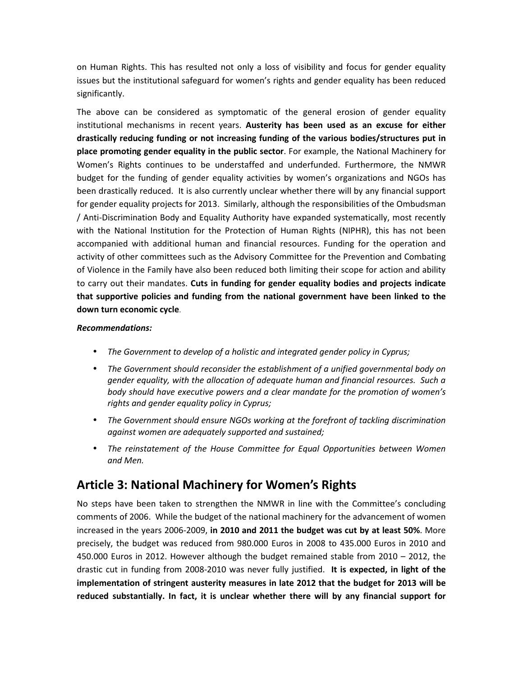on Human Rights. This has resulted not only a loss of visibility and focus for gender equality issues but the institutional safeguard for women's rights and gender equality has been reduced significantly.

The above can be considered as symptomatic of the general erosion of gender equality institutional mechanisms in recent years. **Austerity has been used as an excuse for either drastically reducing funding or not increasing funding of the various bodies/structures put in place promoting gender equality in the public sector**. For example, the National Machinery for Women's Rights continues to be understaffed and underfunded. Furthermore, the NMWR budget for the funding of gender equality activities by women's organizations and NGOs has been drastically reduced. It is also currently unclear whether there will by any financial support for gender equality projects for 2013. Similarly, although the responsibilities of the Ombudsman / Anti-Discrimination Body and Equality Authority have expanded systematically, most recently with the National Institution for the Protection of Human Rights (NIPHR), this has not been accompanied with additional human and financial resources. Funding for the operation and activity of other committees such as the Advisory Committee for the Prevention and Combating of Violence in the Family have also been reduced both limiting their scope for action and ability to carry out their mandates. **Cuts in funding for gender equality bodies and projects indicate that supportive policies and funding from the national government have been linked to the down turn economic cycle**.

#### *Recommendations:*

- *The Government to develop of a holistic and integrated gender policy in Cyprus;*
- *The Government should reconsider the establishment of a unified governmental body on gender equality, with the allocation of adequate human and financial resources. Such a body should have executive powers and a clear mandate for the promotion of women's rights and gender equality policy in Cyprus;*
- *The Government should ensure NGOs working at the forefront of tackling discrimination against women are adequately supported and sustained;*
- *The reinstatement of the House Committee for Equal Opportunities between Women and Men.*

### **Article 3: National Machinery for Women's Rights**

No steps have been taken to strengthen the NMWR in line with the Committee's concluding comments of 2006. While the budget of the national machinery for the advancement of women increased in the years 2006-2009, **in 2010 and 2011 the budget was cut by at least 50%**. More precisely, the budget was reduced from 980.000 Euros in 2008 to 435.000 Euros in 2010 and 450.000 Euros in 2012. However although the budget remained stable from 2010 – 2012, the drastic cut in funding from 2008-2010 was never fully justified. **It is expected, in light of the implementation of stringent austerity measures in late 2012 that the budget for 2013 will be reduced substantially. In fact, it is unclear whether there will by any financial support for**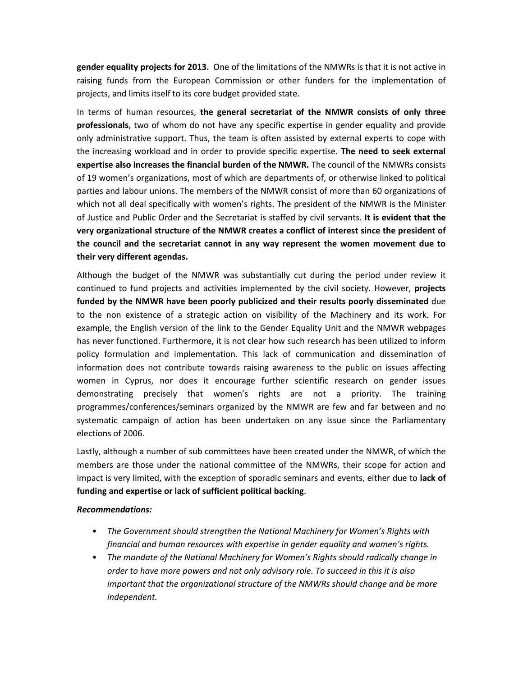**gender equality projects for 2013.** One of the limitations of the NMWRs is that it is not active in raising funds from the European Commission or other funders for the implementation of projects, and limits itself to its core budget provided state.

In terms of human resources, **the general secretariat of the NMWR consists of only three professionals**, two of whom do not have any specific expertise in gender equality and provide only administrative support. Thus, the team is often assisted by external experts to cope with the increasing workload and in order to provide specific expertise. **The need to seek external expertise also increases the financial burden of the NMWR.** The council of the NMWRs consists of 19 women's organizations, most of which are departments of, or otherwise linked to political parties and labour unions. The members of the NMWR consist of more than 60 organizations of which not all deal specifically with women's rights. The president of the NMWR is the Minister of Justice and Public Order and the Secretariat is staffed by civil servants. **It is evident that the very organizational structure of the NMWR creates a conflict of interest since the president of the council and the secretariat cannot in any way represent the women movement due to their very different agendas.**

Although the budget of the NMWR was substantially cut during the period under review it continued to fund projects and activities implemented by the civil society. However, **projects funded by the NMWR have been poorly publicized and their results poorly disseminated** due to the non existence of a strategic action on visibility of the Machinery and its work. For example, the English version of the link to the Gender Equality Unit and the NMWR webpages has never functioned. Furthermore, it is not clear how such research has been utilized to inform policy formulation and implementation. This lack of communication and dissemination of information does not contribute towards raising awareness to the public on issues affecting women in Cyprus, nor does it encourage further scientific research on gender issues demonstrating precisely that women's rights are not a priority. The training programmes/conferences/seminars organized by the NMWR are few and far between and no systematic campaign of action has been undertaken on any issue since the Parliamentary elections of 2006.

Lastly, although a number of sub committees have been created under the NMWR, of which the members are those under the national committee of the NMWRs, their scope for action and impact is very limited, with the exception of sporadic seminars and events, either due to **lack of funding and expertise or lack of sufficient political backing**.

#### *Recommendations:*

- *The Government should strengthen the National Machinery for Women's Rights with financial and human resources with expertise in gender equality and women's rights.*
- *The mandate of the National Machinery for Women's Rights should radically change in order to have more powers and not only advisory role. To succeed in this it is also important that the organizational structure of the NMWRs should change and be more independent.*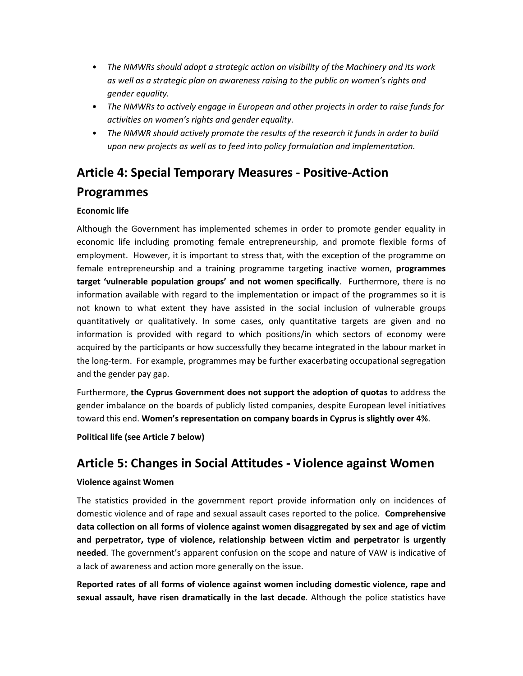- *The NMWRs should adopt a strategic action on visibility of the Machinery and its work as well as a strategic plan on awareness raising to the public on women's rights and gender equality.*
- *The NMWRs to actively engage in European and other projects in order to raise funds for activities on women's rights and gender equality.*
- *The NMWR should actively promote the results of the research it funds in order to build upon new projects as well as to feed into policy formulation and implementation.*

# **Article 4: Special Temporary Measures - Positive-Action**

### **Programmes**

#### **Economic life**

Although the Government has implemented schemes in order to promote gender equality in economic life including promoting female entrepreneurship, and promote flexible forms of employment. However, it is important to stress that, with the exception of the programme on female entrepreneurship and a training programme targeting inactive women, **programmes target 'vulnerable population groups' and not women specifically**. Furthermore, there is no information available with regard to the implementation or impact of the programmes so it is not known to what extent they have assisted in the social inclusion of vulnerable groups quantitatively or qualitatively. In some cases, only quantitative targets are given and no information is provided with regard to which positions/in which sectors of economy were acquired by the participants or how successfully they became integrated in the labour market in the long-term. For example, programmes may be further exacerbating occupational segregation and the gender pay gap.

Furthermore, **the Cyprus Government does not support the adoption of quotas** to address the gender imbalance on the boards of publicly listed companies, despite European level initiatives toward this end. **Women's representation on company boards in Cyprus is slightly over 4%**.

**Political life (see Article 7 below)** 

## **Article 5: Changes in Social Attitudes - Violence against Women**

#### **Violence against Women**

The statistics provided in the government report provide information only on incidences of domestic violence and of rape and sexual assault cases reported to the police. **Comprehensive data collection on all forms of violence against women disaggregated by sex and age of victim and perpetrator, type of violence, relationship between victim and perpetrator is urgently needed**. The government's apparent confusion on the scope and nature of VAW is indicative of a lack of awareness and action more generally on the issue.

**Reported rates of all forms of violence against women including domestic violence, rape and sexual assault, have risen dramatically in the last decade**. Although the police statistics have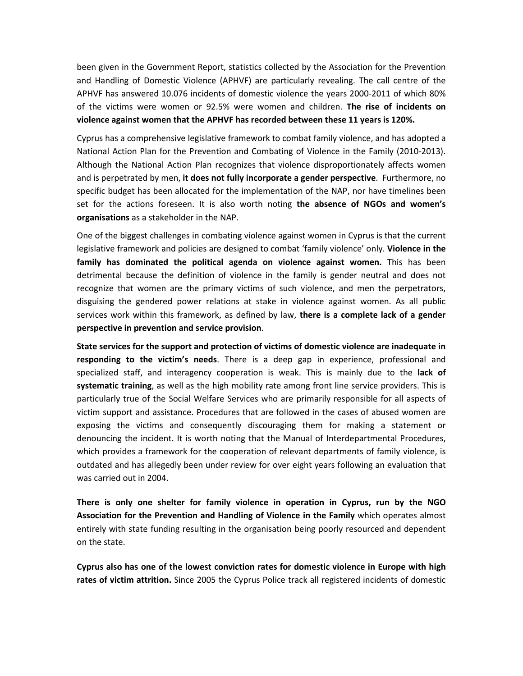been given in the Government Report, statistics collected by the Association for the Prevention and Handling of Domestic Violence (APHVF) are particularly revealing. The call centre of the APHVF has answered 10.076 incidents of domestic violence the years 2000-2011 of which 80% of the victims were women or 92.5% were women and children. **The rise of incidents on violence against women that the APHVF has recorded between these 11 years is 120%.**

Cyprus has a comprehensive legislative framework to combat family violence, and has adopted a National Action Plan for the Prevention and Combating of Violence in the Family (2010-2013). Although the National Action Plan recognizes that violence disproportionately affects women and is perpetrated by men, **it does not fully incorporate a gender perspective**. Furthermore, no specific budget has been allocated for the implementation of the NAP, nor have timelines been set for the actions foreseen. It is also worth noting **the absence of NGOs and women's organisations** as a stakeholder in the NAP.

One of the biggest challenges in combating violence against women in Cyprus is that the current legislative framework and policies are designed to combat 'family violence' only. **Violence in the family has dominated the political agenda on violence against women.** This has been detrimental because the definition of violence in the family is gender neutral and does not recognize that women are the primary victims of such violence, and men the perpetrators, disguising the gendered power relations at stake in violence against women. As all public services work within this framework, as defined by law, **there is a complete lack of a gender perspective in prevention and service provision**.

**State services for the support and protection of victims of domestic violence are inadequate in responding to the victim's needs**. There is a deep gap in experience, professional and specialized staff, and interagency cooperation is weak. This is mainly due to the **lack of systematic training**, as well as the high mobility rate among front line service providers. This is particularly true of the Social Welfare Services who are primarily responsible for all aspects of victim support and assistance. Procedures that are followed in the cases of abused women are exposing the victims and consequently discouraging them for making a statement or denouncing the incident. It is worth noting that the Manual of Interdepartmental Procedures, which provides a framework for the cooperation of relevant departments of family violence, is outdated and has allegedly been under review for over eight years following an evaluation that was carried out in 2004.

**There is only one shelter for family violence in operation in Cyprus, run by the NGO Association for the Prevention and Handling of Violence in the Family** which operates almost entirely with state funding resulting in the organisation being poorly resourced and dependent on the state.

**Cyprus also has one of the lowest conviction rates for domestic violence in Europe with high rates of victim attrition.** Since 2005 the Cyprus Police track all registered incidents of domestic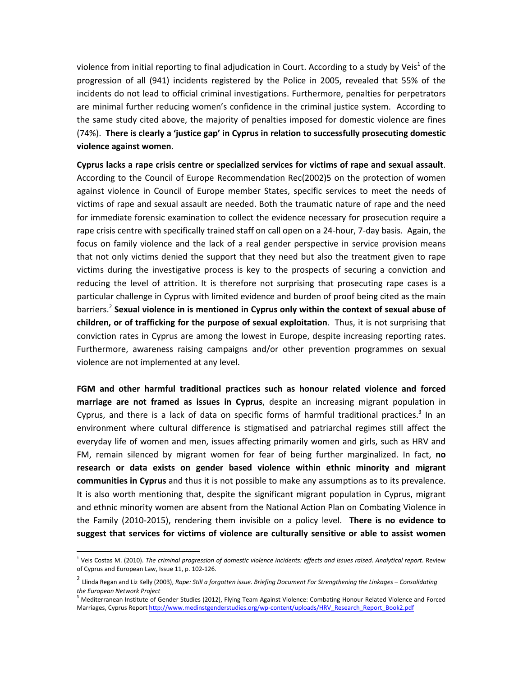violence from initial reporting to final adjudication in Court. According to a study by Veis<sup>1</sup> of the progression of all (941) incidents registered by the Police in 2005, revealed that 55% of the incidents do not lead to official criminal investigations. Furthermore, penalties for perpetrators are minimal further reducing women's confidence in the criminal justice system. According to the same study cited above, the majority of penalties imposed for domestic violence are fines (74%). **There is clearly a 'justice gap' in Cyprus in relation to successfully prosecuting domestic violence against women**.

**Cyprus lacks a rape crisis centre or specialized services for victims of rape and sexual assault**. According to the Council of Europe Recommendation Rec(2002)5 on the protection of women against violence in Council of Europe member States, specific services to meet the needs of victims of rape and sexual assault are needed. Both the traumatic nature of rape and the need for immediate forensic examination to collect the evidence necessary for prosecution require a rape crisis centre with specifically trained staff on call open on a 24-hour, 7-day basis. Again, the focus on family violence and the lack of a real gender perspective in service provision means that not only victims denied the support that they need but also the treatment given to rape victims during the investigative process is key to the prospects of securing a conviction and reducing the level of attrition. It is therefore not surprising that prosecuting rape cases is a particular challenge in Cyprus with limited evidence and burden of proof being cited as the main barriers.<sup>2</sup> Sexual violence in is mentioned in Cyprus only within the context of sexual abuse of **children, or of trafficking for the purpose of sexual exploitation**. Thus, it is not surprising that conviction rates in Cyprus are among the lowest in Europe, despite increasing reporting rates. Furthermore, awareness raising campaigns and/or other prevention programmes on sexual violence are not implemented at any level.

**FGM and other harmful traditional practices such as honour related violence and forced marriage are not framed as issues in Cyprus**, despite an increasing migrant population in Cyprus, and there is a lack of data on specific forms of harmful traditional practices. $3$  In an environment where cultural difference is stigmatised and patriarchal regimes still affect the everyday life of women and men, issues affecting primarily women and girls, such as HRV and FM, remain silenced by migrant women for fear of being further marginalized. In fact, **no research or data exists on gender based violence within ethnic minority and migrant communities in Cyprus** and thus it is not possible to make any assumptions as to its prevalence. It is also worth mentioning that, despite the significant migrant population in Cyprus, migrant and ethnic minority women are absent from the National Action Plan on Combating Violence in the Family (2010-2015), rendering them invisible on a policy level. **There is no evidence to suggest that services for victims of violence are culturally sensitive or able to assist women** 

<u>.</u>

<sup>1</sup> Veis Costas M. (2010). *The criminal progression of domestic violence incidents: effects and issues raised*. *Analytical report*. Review of Cyprus and European Law, Issue 11, p. 102-126.

<sup>2</sup> Llinda Regan and Liz Kelly (2003), *Rape: Still a forgotten issue. Briefing Document For Strengthening the Linkages – Consolidating the European Network Project*

<sup>&</sup>lt;sup>3</sup> Mediterranean Institute of Gender Studies (2012), Flying Team Against Violence: Combating Honour Related Violence and Forced Marriages, Cyprus Report http://www.medinstgenderstudies.org/wp-content/uploads/HRV\_Research\_Report\_Book2.pdf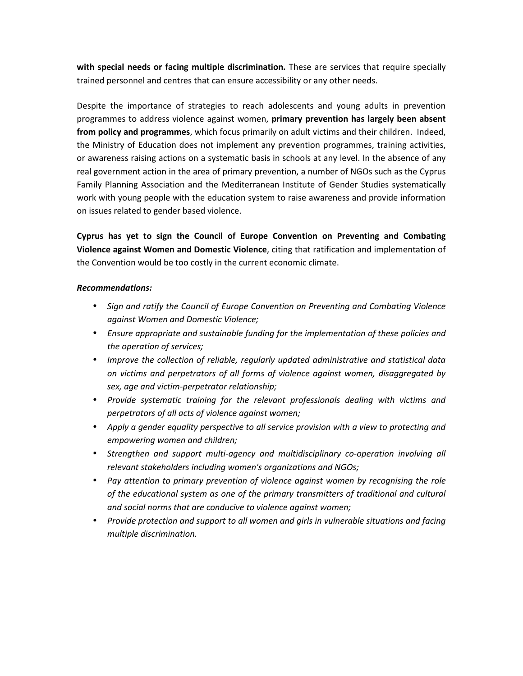**with special needs or facing multiple discrimination.** These are services that require specially trained personnel and centres that can ensure accessibility or any other needs.

Despite the importance of strategies to reach adolescents and young adults in prevention programmes to address violence against women, **primary prevention has largely been absent from policy and programmes**, which focus primarily on adult victims and their children. Indeed, the Ministry of Education does not implement any prevention programmes, training activities, or awareness raising actions on a systematic basis in schools at any level. In the absence of any real government action in the area of primary prevention, a number of NGOs such as the Cyprus Family Planning Association and the Mediterranean Institute of Gender Studies systematically work with young people with the education system to raise awareness and provide information on issues related to gender based violence.

**Cyprus has yet to sign the Council of Europe Convention on Preventing and Combating Violence against Women and Domestic Violence**, citing that ratification and implementation of the Convention would be too costly in the current economic climate.

#### *Recommendations:*

- *Sign and ratify the Council of Europe Convention on Preventing and Combating Violence against Women and Domestic Violence;*
- *Ensure appropriate and sustainable funding for the implementation of these policies and the operation of services;*
- *Improve the collection of reliable, regularly updated administrative and statistical data on victims and perpetrators of all forms of violence against women, disaggregated by sex, age and victim-perpetrator relationship;*
- *Provide systematic training for the relevant professionals dealing with victims and perpetrators of all acts of violence against women;*
- *Apply a gender equality perspective to all service provision with a view to protecting and empowering women and children;*
- *Strengthen and support multi-agency and multidisciplinary co-operation involving all relevant stakeholders including women's organizations and NGOs;*
- *Pay attention to primary prevention of violence against women by recognising the role of the educational system as one of the primary transmitters of traditional and cultural and social norms that are conducive to violence against women;*
- *Provide protection and support to all women and girls in vulnerable situations and facing multiple discrimination.*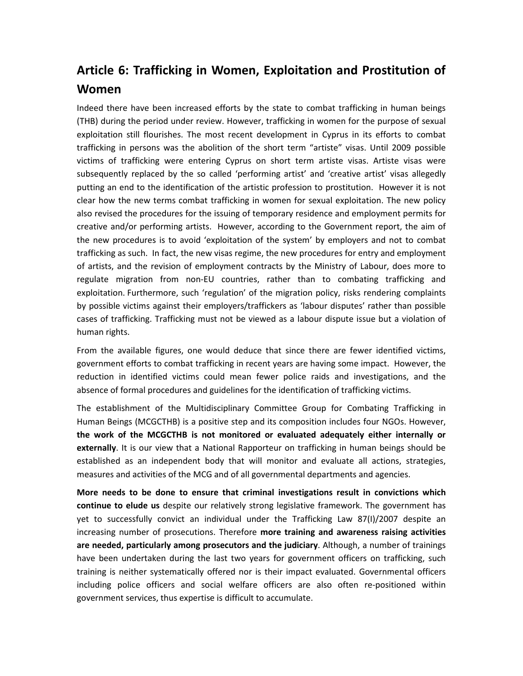## **Article 6: Trafficking in Women, Exploitation and Prostitution of Women**

Indeed there have been increased efforts by the state to combat trafficking in human beings (THB) during the period under review. However, trafficking in women for the purpose of sexual exploitation still flourishes. The most recent development in Cyprus in its efforts to combat trafficking in persons was the abolition of the short term "artiste" visas. Until 2009 possible victims of trafficking were entering Cyprus on short term artiste visas. Artiste visas were subsequently replaced by the so called 'performing artist' and 'creative artist' visas allegedly putting an end to the identification of the artistic profession to prostitution. However it is not clear how the new terms combat trafficking in women for sexual exploitation. The new policy also revised the procedures for the issuing of temporary residence and employment permits for creative and/or performing artists. However, according to the Government report, the aim of the new procedures is to avoid 'exploitation of the system' by employers and not to combat trafficking as such. In fact, the new visas regime, the new procedures for entry and employment of artists, and the revision of employment contracts by the Ministry of Labour, does more to regulate migration from non-EU countries, rather than to combating trafficking and exploitation. Furthermore, such 'regulation' of the migration policy, risks rendering complaints by possible victims against their employers/traffickers as 'labour disputes' rather than possible cases of trafficking. Trafficking must not be viewed as a labour dispute issue but a violation of human rights.

From the available figures, one would deduce that since there are fewer identified victims, government efforts to combat trafficking in recent years are having some impact. However, the reduction in identified victims could mean fewer police raids and investigations, and the absence of formal procedures and guidelines for the identification of trafficking victims.

The establishment of the Multidisciplinary Committee Group for Combating Trafficking in Human Beings (MCGCTHB) is a positive step and its composition includes four NGOs. However, **the work of the MCGCTHB is not monitored or evaluated adequately either internally or externally**. It is our view that a National Rapporteur on trafficking in human beings should be established as an independent body that will monitor and evaluate all actions, strategies, measures and activities of the MCG and of all governmental departments and agencies.

**More needs to be done to ensure that criminal investigations result in convictions which continue to elude us** despite our relatively strong legislative framework. The government has yet to successfully convict an individual under the Trafficking Law 87(I)/2007 despite an increasing number of prosecutions. Therefore **more training and awareness raising activities are needed, particularly among prosecutors and the judiciary**. Although, a number of trainings have been undertaken during the last two years for government officers on trafficking, such training is neither systematically offered nor is their impact evaluated. Governmental officers including police officers and social welfare officers are also often re-positioned within government services, thus expertise is difficult to accumulate.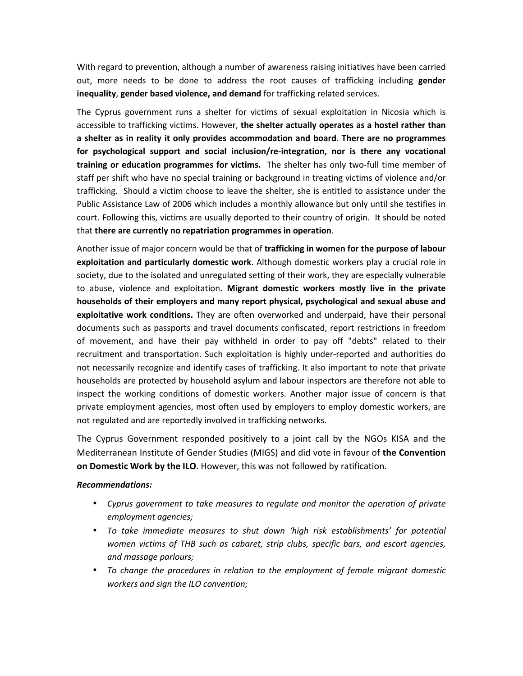With regard to prevention, although a number of awareness raising initiatives have been carried out, more needs to be done to address the root causes of trafficking including **gender inequality**, **gender based violence, and demand** for trafficking related services.

The Cyprus government runs a shelter for victims of sexual exploitation in Nicosia which is accessible to trafficking victims. However, **the shelter actually operates as a hostel rather than a shelter as in reality it only provides accommodation and board**. **There are no programmes for psychological support and social inclusion/re-integration, nor is there any vocational training or education programmes for victims.** The shelter has only two-full time member of staff per shift who have no special training or background in treating victims of violence and/or trafficking. Should a victim choose to leave the shelter, she is entitled to assistance under the Public Assistance Law of 2006 which includes a monthly allowance but only until she testifies in court. Following this, victims are usually deported to their country of origin. It should be noted that **there are currently no repatriation programmes in operation**.

Another issue of major concern would be that of **trafficking in women for the purpose of labour exploitation and particularly domestic work**. Although domestic workers play a crucial role in society, due to the isolated and unregulated setting of their work, they are especially vulnerable to abuse, violence and exploitation. **Migrant domestic workers mostly live in the private households of their employers and many report physical, psychological and sexual abuse and exploitative work conditions.** They are often overworked and underpaid, have their personal documents such as passports and travel documents confiscated, report restrictions in freedom of movement, and have their pay withheld in order to pay off "debts" related to their recruitment and transportation. Such exploitation is highly under-reported and authorities do not necessarily recognize and identify cases of trafficking. It also important to note that private households are protected by household asylum and labour inspectors are therefore not able to inspect the working conditions of domestic workers. Another major issue of concern is that private employment agencies, most often used by employers to employ domestic workers, are not regulated and are reportedly involved in trafficking networks.

The Cyprus Government responded positively to a joint call by the NGOs KISA and the Mediterranean Institute of Gender Studies (MIGS) and did vote in favour of **the Convention on Domestic Work by the ILO**. However, this was not followed by ratification.

#### *Recommendations:*

- *Cyprus government to take measures to regulate and monitor the operation of private employment agencies;*
- *To take immediate measures to shut down 'high risk establishments' for potential women victims of THB such as cabaret, strip clubs, specific bars, and escort agencies, and massage parlours;*
- *To change the procedures in relation to the employment of female migrant domestic workers and sign the ILO convention;*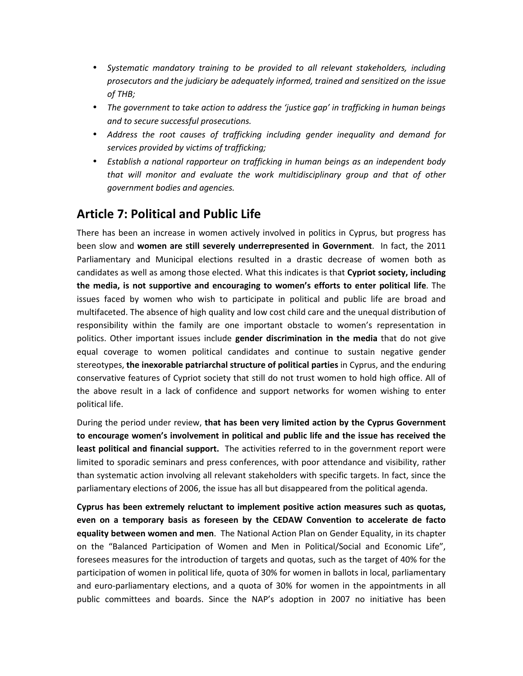- *Systematic mandatory training to be provided to all relevant stakeholders, including prosecutors and the judiciary be adequately informed, trained and sensitized on the issue of THB;*
- *The government to take action to address the 'justice gap' in trafficking in human beings and to secure successful prosecutions.*
- *Address the root causes of trafficking including gender inequality and demand for services provided by victims of trafficking;*
- *Establish a national rapporteur on trafficking in human beings as an independent body that will monitor and evaluate the work multidisciplinary group and that of other government bodies and agencies.*

## **Article 7: Political and Public Life**

There has been an increase in women actively involved in politics in Cyprus, but progress has been slow and **women are still severely underrepresented in Government**. In fact, the 2011 Parliamentary and Municipal elections resulted in a drastic decrease of women both as candidates as well as among those elected. What this indicates is that **Cypriot society, including the media, is not supportive and encouraging to women's efforts to enter political life**. The issues faced by women who wish to participate in political and public life are broad and multifaceted. The absence of high quality and low cost child care and the unequal distribution of responsibility within the family are one important obstacle to women's representation in politics. Other important issues include **gender discrimination in the media** that do not give equal coverage to women political candidates and continue to sustain negative gender stereotypes, **the inexorable patriarchal structure of political parties** in Cyprus, and the enduring conservative features of Cypriot society that still do not trust women to hold high office. All of the above result in a lack of confidence and support networks for women wishing to enter political life.

During the period under review, **that has been very limited action by the Cyprus Government to encourage women's involvement in political and public life and the issue has received the least political and financial support.** The activities referred to in the government report were limited to sporadic seminars and press conferences, with poor attendance and visibility, rather than systematic action involving all relevant stakeholders with specific targets. In fact, since the parliamentary elections of 2006, the issue has all but disappeared from the political agenda.

**Cyprus has been extremely reluctant to implement positive action measures such as quotas, even on a temporary basis as foreseen by the CEDAW Convention to accelerate de facto equality between women and men**. The National Action Plan on Gender Equality, in its chapter on the "Balanced Participation of Women and Men in Political/Social and Economic Life", foresees measures for the introduction of targets and quotas, such as the target of 40% for the participation of women in political life, quota of 30% for women in ballots in local, parliamentary and euro-parliamentary elections, and a quota of 30% for women in the appointments in all public committees and boards. Since the NAP's adoption in 2007 no initiative has been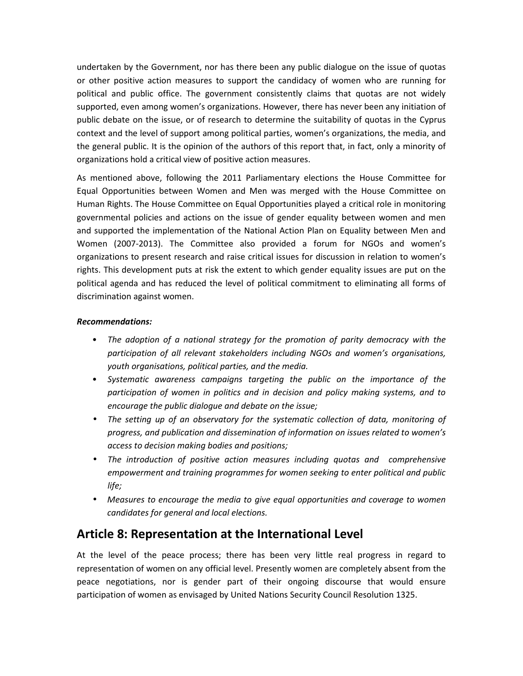undertaken by the Government, nor has there been any public dialogue on the issue of quotas or other positive action measures to support the candidacy of women who are running for political and public office. The government consistently claims that quotas are not widely supported, even among women's organizations. However, there has never been any initiation of public debate on the issue, or of research to determine the suitability of quotas in the Cyprus context and the level of support among political parties, women's organizations, the media, and the general public. It is the opinion of the authors of this report that, in fact, only a minority of organizations hold a critical view of positive action measures.

As mentioned above, following the 2011 Parliamentary elections the House Committee for Equal Opportunities between Women and Men was merged with the House Committee on Human Rights. The House Committee on Equal Opportunities played a critical role in monitoring governmental policies and actions on the issue of gender equality between women and men and supported the implementation of the National Action Plan on Equality between Men and Women (2007-2013). The Committee also provided a forum for NGOs and women's organizations to present research and raise critical issues for discussion in relation to women's rights. This development puts at risk the extent to which gender equality issues are put on the political agenda and has reduced the level of political commitment to eliminating all forms of discrimination against women.

#### *Recommendations:*

- *The adoption of a national strategy for the promotion of parity democracy with the participation of all relevant stakeholders including NGOs and women's organisations, youth organisations, political parties, and the media.*
- *Systematic awareness campaigns targeting the public on the importance of the participation of women in politics and in decision and policy making systems, and to encourage the public dialogue and debate on the issue;*
- *The setting up of an observatory for the systematic collection of data, monitoring of progress, and publication and dissemination of information on issues related to women's access to decision making bodies and positions;*
- *The introduction of positive action measures including quotas and comprehensive empowerment and training programmes for women seeking to enter political and public life;*
- *Measures to encourage the media to give equal opportunities and coverage to women candidates for general and local elections.*

## **Article 8: Representation at the International Level**

At the level of the peace process; there has been very little real progress in regard to representation of women on any official level. Presently women are completely absent from the peace negotiations, nor is gender part of their ongoing discourse that would ensure participation of women as envisaged by United Nations Security Council Resolution 1325.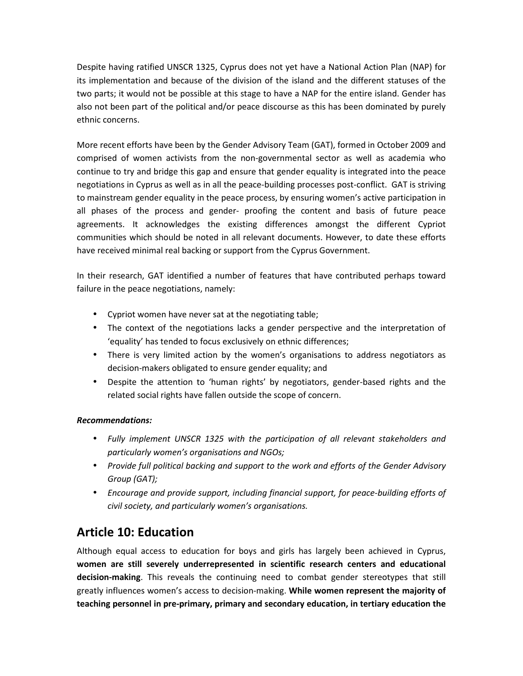Despite having ratified UNSCR 1325, Cyprus does not yet have a National Action Plan (NAP) for its implementation and because of the division of the island and the different statuses of the two parts; it would not be possible at this stage to have a NAP for the entire island. Gender has also not been part of the political and/or peace discourse as this has been dominated by purely ethnic concerns.

More recent efforts have been by the Gender Advisory Team (GAT), formed in October 2009 and comprised of women activists from the non-governmental sector as well as academia who continue to try and bridge this gap and ensure that gender equality is integrated into the peace negotiations in Cyprus as well as in all the peace-building processes post-conflict. GAT is striving to mainstream gender equality in the peace process, by ensuring women's active participation in all phases of the process and gender- proofing the content and basis of future peace agreements. It acknowledges the existing differences amongst the different Cypriot communities which should be noted in all relevant documents. However, to date these efforts have received minimal real backing or support from the Cyprus Government.

In their research, GAT identified a number of features that have contributed perhaps toward failure in the peace negotiations, namely:

- Cypriot women have never sat at the negotiating table;
- The context of the negotiations lacks a gender perspective and the interpretation of 'equality' has tended to focus exclusively on ethnic differences;
- There is very limited action by the women's organisations to address negotiators as decision-makers obligated to ensure gender equality; and
- Despite the attention to 'human rights' by negotiators, gender-based rights and the related social rights have fallen outside the scope of concern.

#### *Recommendations:*

- *Fully implement UNSCR 1325 with the participation of all relevant stakeholders and particularly women's organisations and NGOs;*
- *Provide full political backing and support to the work and efforts of the Gender Advisory Group (GAT);*
- *Encourage and provide support, including financial support, for peace-building efforts of civil society, and particularly women's organisations.*

## **Article 10: Education**

Although equal access to education for boys and girls has largely been achieved in Cyprus, **women are still severely underrepresented in scientific research centers and educational decision-making**. This reveals the continuing need to combat gender stereotypes that still greatly influences women's access to decision-making. **While women represent the majority of teaching personnel in pre-primary, primary and secondary education, in tertiary education the**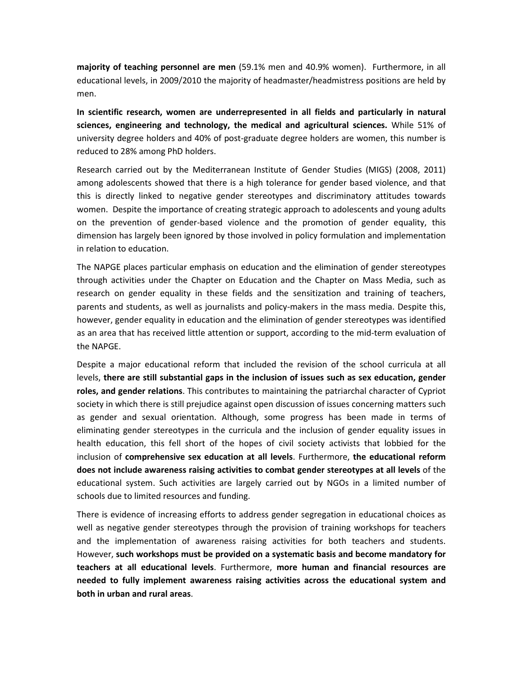**majority of teaching personnel are men** (59.1% men and 40.9% women). Furthermore, in all educational levels, in 2009/2010 the majority of headmaster/headmistress positions are held by men.

**In scientific research, women are underrepresented in all fields and particularly in natural sciences, engineering and technology, the medical and agricultural sciences.** While 51% of university degree holders and 40% of post-graduate degree holders are women, this number is reduced to 28% among PhD holders.

Research carried out by the Mediterranean Institute of Gender Studies (MIGS) (2008, 2011) among adolescents showed that there is a high tolerance for gender based violence, and that this is directly linked to negative gender stereotypes and discriminatory attitudes towards women. Despite the importance of creating strategic approach to adolescents and young adults on the prevention of gender-based violence and the promotion of gender equality, this dimension has largely been ignored by those involved in policy formulation and implementation in relation to education.

The NAPGE places particular emphasis on education and the elimination of gender stereotypes through activities under the Chapter on Education and the Chapter on Mass Media, such as research on gender equality in these fields and the sensitization and training of teachers, parents and students, as well as journalists and policy-makers in the mass media. Despite this, however, gender equality in education and the elimination of gender stereotypes was identified as an area that has received little attention or support, according to the mid-term evaluation of the NAPGE.

Despite a major educational reform that included the revision of the school curricula at all levels, **there are still substantial gaps in the inclusion of issues such as sex education, gender roles, and gender relations**. This contributes to maintaining the patriarchal character of Cypriot society in which there is still prejudice against open discussion of issues concerning matters such as gender and sexual orientation. Although, some progress has been made in terms of eliminating gender stereotypes in the curricula and the inclusion of gender equality issues in health education, this fell short of the hopes of civil society activists that lobbied for the inclusion of **comprehensive sex education at all levels**. Furthermore, **the educational reform does not include awareness raising activities to combat gender stereotypes at all levels** of the educational system. Such activities are largely carried out by NGOs in a limited number of schools due to limited resources and funding.

There is evidence of increasing efforts to address gender segregation in educational choices as well as negative gender stereotypes through the provision of training workshops for teachers and the implementation of awareness raising activities for both teachers and students. However, **such workshops must be provided on a systematic basis and become mandatory for teachers at all educational levels**. Furthermore, **more human and financial resources are needed to fully implement awareness raising activities across the educational system and both in urban and rural areas**.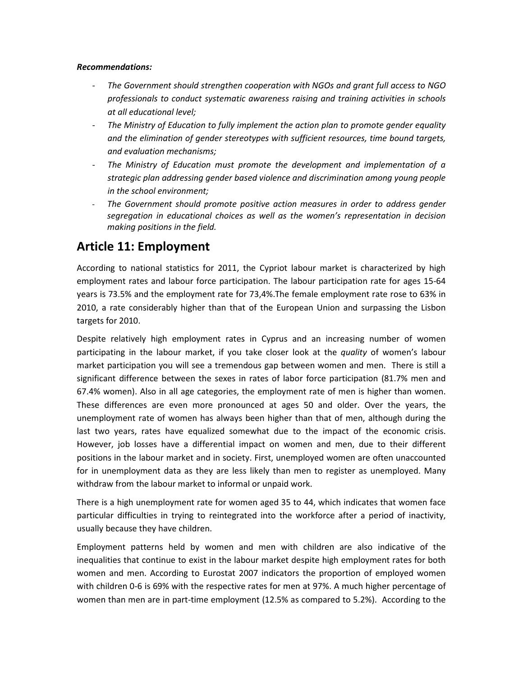#### *Recommendations:*

- *The Government should strengthen cooperation with NGOs and grant full access to NGO professionals to conduct systematic awareness raising and training activities in schools at all educational level;*
- *The Ministry of Education to fully implement the action plan to promote gender equality and the elimination of gender stereotypes with sufficient resources, time bound targets, and evaluation mechanisms;*
- *The Ministry of Education must promote the development and implementation of a strategic plan addressing gender based violence and discrimination among young people in the school environment;*
- *The Government should promote positive action measures in order to address gender segregation in educational choices as well as the women's representation in decision making positions in the field.*

## **Article 11: Employment**

According to national statistics for 2011, the Cypriot labour market is characterized by high employment rates and labour force participation. The labour participation rate for ages 15-64 years is 73.5% and the employment rate for 73,4%.The female employment rate rose to 63% in 2010, a rate considerably higher than that of the European Union and surpassing the Lisbon targets for 2010.

Despite relatively high employment rates in Cyprus and an increasing number of women participating in the labour market, if you take closer look at the *quality* of women's labour market participation you will see a tremendous gap between women and men. There is still a significant difference between the sexes in rates of labor force participation (81.7% men and 67.4% women). Also in all age categories, the employment rate of men is higher than women. These differences are even more pronounced at ages 50 and older. Over the years, the unemployment rate of women has always been higher than that of men, although during the last two years, rates have equalized somewhat due to the impact of the economic crisis. However, job losses have a differential impact on women and men, due to their different positions in the labour market and in society. First, unemployed women are often unaccounted for in unemployment data as they are less likely than men to register as unemployed. Many withdraw from the labour market to informal or unpaid work.

There is a high unemployment rate for women aged 35 to 44, which indicates that women face particular difficulties in trying to reintegrated into the workforce after a period of inactivity, usually because they have children.

Employment patterns held by women and men with children are also indicative of the inequalities that continue to exist in the labour market despite high employment rates for both women and men. According to Eurostat 2007 indicators the proportion of employed women with children 0-6 is 69% with the respective rates for men at 97%. A much higher percentage of women than men are in part-time employment (12.5% as compared to 5.2%). According to the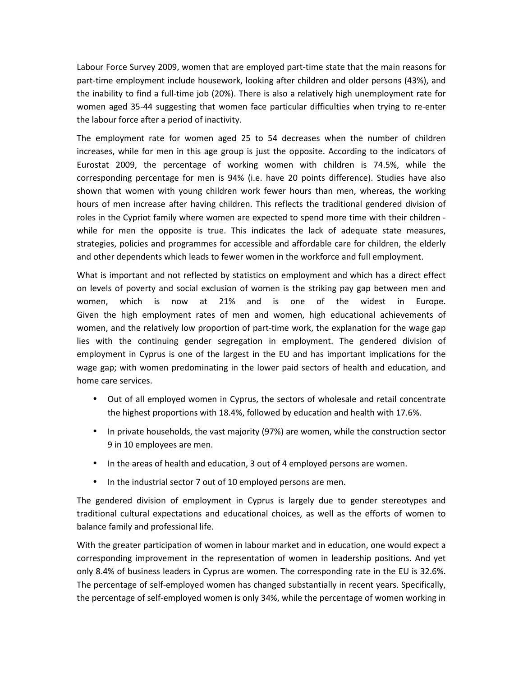Labour Force Survey 2009, women that are employed part-time state that the main reasons for part-time employment include housework, looking after children and older persons (43%), and the inability to find a full-time job (20%). There is also a relatively high unemployment rate for women aged 35-44 suggesting that women face particular difficulties when trying to re-enter the labour force after a period of inactivity.

The employment rate for women aged 25 to 54 decreases when the number of children increases, while for men in this age group is just the opposite. According to the indicators of Eurostat 2009, the percentage of working women with children is 74.5%, while the corresponding percentage for men is 94% (i.e. have 20 points difference). Studies have also shown that women with young children work fewer hours than men, whereas, the working hours of men increase after having children. This reflects the traditional gendered division of roles in the Cypriot family where women are expected to spend more time with their children while for men the opposite is true. This indicates the lack of adequate state measures, strategies, policies and programmes for accessible and affordable care for children, the elderly and other dependents which leads to fewer women in the workforce and full employment.

What is important and not reflected by statistics on employment and which has a direct effect on levels of poverty and social exclusion of women is the striking pay gap between men and women, which is now at 21% and is one of the widest in Europe. Given the high employment rates of men and women, high educational achievements of women, and the relatively low proportion of part-time work, the explanation for the wage gap lies with the continuing gender segregation in employment. The gendered division of employment in Cyprus is one of the largest in the EU and has important implications for the wage gap; with women predominating in the lower paid sectors of health and education, and home care services.

- Out of all employed women in Cyprus, the sectors of wholesale and retail concentrate the highest proportions with 18.4%, followed by education and health with 17.6%.
- In private households, the vast majority (97%) are women, while the construction sector 9 in 10 employees are men.
- In the areas of health and education, 3 out of 4 employed persons are women.
- In the industrial sector 7 out of 10 employed persons are men.

The gendered division of employment in Cyprus is largely due to gender stereotypes and traditional cultural expectations and educational choices, as well as the efforts of women to balance family and professional life.

With the greater participation of women in labour market and in education, one would expect a corresponding improvement in the representation of women in leadership positions. And yet only 8.4% of business leaders in Cyprus are women. The corresponding rate in the EU is 32.6%. The percentage of self-employed women has changed substantially in recent years. Specifically, the percentage of self-employed women is only 34%, while the percentage of women working in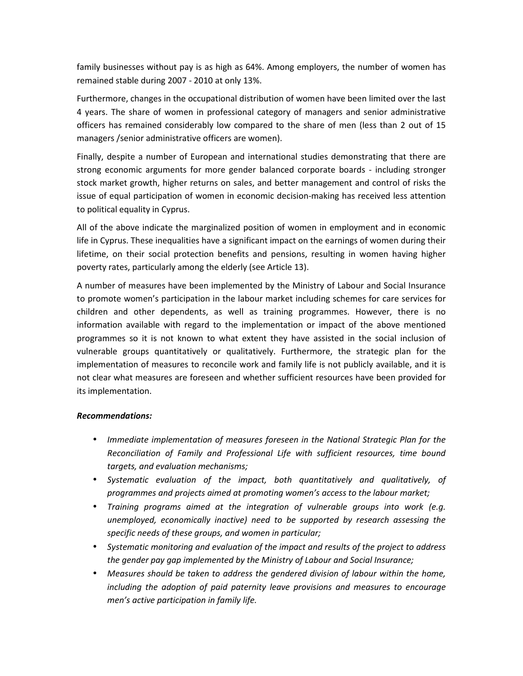family businesses without pay is as high as 64%. Among employers, the number of women has remained stable during 2007 - 2010 at only 13%.

Furthermore, changes in the occupational distribution of women have been limited over the last 4 years. The share of women in professional category of managers and senior administrative officers has remained considerably low compared to the share of men (less than 2 out of 15 managers /senior administrative officers are women).

Finally, despite a number of European and international studies demonstrating that there are strong economic arguments for more gender balanced corporate boards - including stronger stock market growth, higher returns on sales, and better management and control of risks the issue of equal participation of women in economic decision-making has received less attention to political equality in Cyprus.

All of the above indicate the marginalized position of women in employment and in economic life in Cyprus. These inequalities have a significant impact on the earnings of women during their lifetime, on their social protection benefits and pensions, resulting in women having higher poverty rates, particularly among the elderly (see Article 13).

A number of measures have been implemented by the Ministry of Labour and Social Insurance to promote women's participation in the labour market including schemes for care services for children and other dependents, as well as training programmes. However, there is no information available with regard to the implementation or impact of the above mentioned programmes so it is not known to what extent they have assisted in the social inclusion of vulnerable groups quantitatively or qualitatively. Furthermore, the strategic plan for the implementation of measures to reconcile work and family life is not publicly available, and it is not clear what measures are foreseen and whether sufficient resources have been provided for its implementation.

#### *Recommendations:*

- *Immediate implementation of measures foreseen in the National Strategic Plan for the Reconciliation of Family and Professional Life with sufficient resources, time bound targets, and evaluation mechanisms;*
- *Systematic evaluation of the impact, both quantitatively and qualitatively, of programmes and projects aimed at promoting women's access to the labour market;*
- *Training programs aimed at the integration of vulnerable groups into work (e.g. unemployed, economically inactive) need to be supported by research assessing the specific needs of these groups, and women in particular;*
- *Systematic monitoring and evaluation of the impact and results of the project to address the gender pay gap implemented by the Ministry of Labour and Social Insurance;*
- *Measures should be taken to address the gendered division of labour within the home, including the adoption of paid paternity leave provisions and measures to encourage men's active participation in family life.*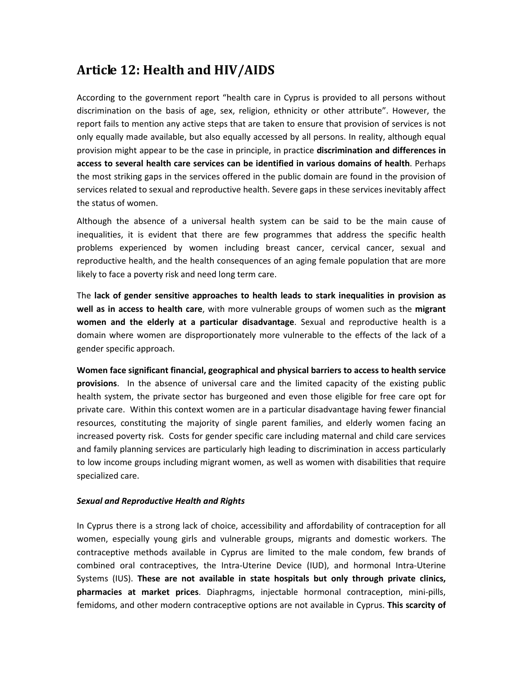## **Article 12: Health and HIV/AIDS**

According to the government report "health care in Cyprus is provided to all persons without discrimination on the basis of age, sex, religion, ethnicity or other attribute". However, the report fails to mention any active steps that are taken to ensure that provision of services is not only equally made available, but also equally accessed by all persons. In reality, although equal provision might appear to be the case in principle, in practice **discrimination and differences in access to several health care services can be identified in various domains of health**. Perhaps the most striking gaps in the services offered in the public domain are found in the provision of services related to sexual and reproductive health. Severe gaps in these services inevitably affect the status of women.

Although the absence of a universal health system can be said to be the main cause of inequalities, it is evident that there are few programmes that address the specific health problems experienced by women including breast cancer, cervical cancer, sexual and reproductive health, and the health consequences of an aging female population that are more likely to face a poverty risk and need long term care.

The **lack of gender sensitive approaches to health leads to stark inequalities in provision as well as in access to health care**, with more vulnerable groups of women such as the **migrant women and the elderly at a particular disadvantage**. Sexual and reproductive health is a domain where women are disproportionately more vulnerable to the effects of the lack of a gender specific approach.

**Women face significant financial, geographical and physical barriers to access to health service provisions**. In the absence of universal care and the limited capacity of the existing public health system, the private sector has burgeoned and even those eligible for free care opt for private care. Within this context women are in a particular disadvantage having fewer financial resources, constituting the majority of single parent families, and elderly women facing an increased poverty risk. Costs for gender specific care including maternal and child care services and family planning services are particularly high leading to discrimination in access particularly to low income groups including migrant women, as well as women with disabilities that require specialized care.

#### *Sexual and Reproductive Health and Rights*

In Cyprus there is a strong lack of choice, accessibility and affordability of contraception for all women, especially young girls and vulnerable groups, migrants and domestic workers. The contraceptive methods available in Cyprus are limited to the male condom, few brands of combined oral contraceptives, the Intra-Uterine Device (IUD), and hormonal Intra-Uterine Systems (IUS). **These are not available in state hospitals but only through private clinics, pharmacies at market prices**. Diaphragms, injectable hormonal contraception, mini-pills, femidoms, and other modern contraceptive options are not available in Cyprus. **This scarcity of**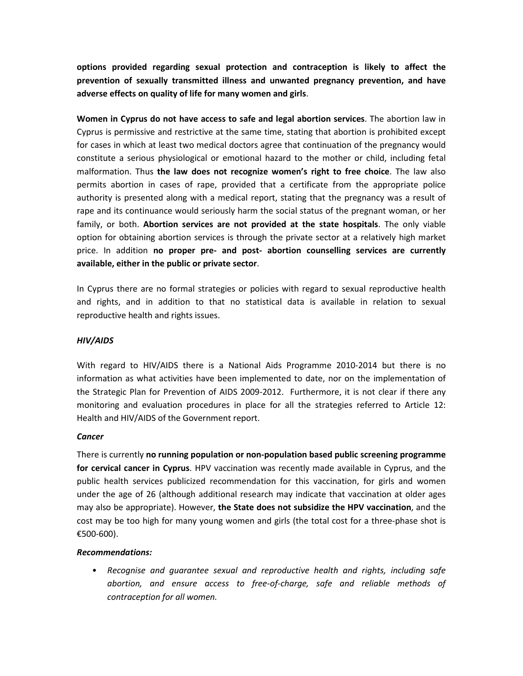**options provided regarding sexual protection and contraception is likely to affect the prevention of sexually transmitted illness and unwanted pregnancy prevention, and have adverse effects on quality of life for many women and girls**.

**Women in Cyprus do not have access to safe and legal abortion services**. The abortion law in Cyprus is permissive and restrictive at the same time, stating that abortion is prohibited except for cases in which at least two medical doctors agree that continuation of the pregnancy would constitute a serious physiological or emotional hazard to the mother or child, including fetal malformation. Thus **the law does not recognize women's right to free choice**. The law also permits abortion in cases of rape, provided that a certificate from the appropriate police authority is presented along with a medical report, stating that the pregnancy was a result of rape and its continuance would seriously harm the social status of the pregnant woman, or her family, or both. **Abortion services are not provided at the state hospitals**. The only viable option for obtaining abortion services is through the private sector at a relatively high market price. In addition **no proper pre- and post- abortion counselling services are currently available, either in the public or private sector**.

In Cyprus there are no formal strategies or policies with regard to sexual reproductive health and rights, and in addition to that no statistical data is available in relation to sexual reproductive health and rights issues.

#### *HIV/AIDS*

With regard to HIV/AIDS there is a National Aids Programme 2010-2014 but there is no information as what activities have been implemented to date, nor on the implementation of the Strategic Plan for Prevention of AIDS 2009-2012. Furthermore, it is not clear if there any monitoring and evaluation procedures in place for all the strategies referred to Article 12: Health and HIV/AIDS of the Government report.

#### *Cancer*

There is currently **no running population or non-population based public screening programme for cervical cancer in Cyprus**. HPV vaccination was recently made available in Cyprus, and the public health services publicized recommendation for this vaccination, for girls and women under the age of 26 (although additional research may indicate that vaccination at older ages may also be appropriate). However, **the State does not subsidize the HPV vaccination**, and the cost may be too high for many young women and girls (the total cost for a three-phase shot is €500-600).

#### *Recommendations:*

• *Recognise and guarantee sexual and reproductive health and rights, including safe abortion, and ensure access to free-of-charge, safe and reliable methods of contraception for all women.*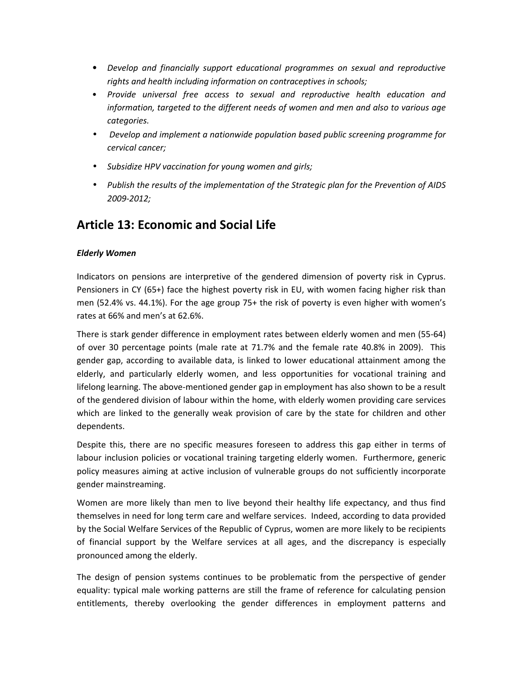- *Develop and financially support educational programmes on sexual and reproductive rights and health including information on contraceptives in schools;*
- *Provide universal free access to sexual and reproductive health education and information, targeted to the different needs of women and men and also to various age categories.*
- • *Develop and implement a nationwide population based public screening programme for cervical cancer;*
- *Subsidize HPV vaccination for young women and girls;*
- *Publish the results of the implementation of the Strategic plan for the Prevention of AIDS 2009-2012;*

## **Article 13: Economic and Social Life**

#### *Elderly Women*

Indicators on pensions are interpretive of the gendered dimension of poverty risk in Cyprus. Pensioners in CY (65+) face the highest poverty risk in EU, with women facing higher risk than men (52.4% vs. 44.1%). For the age group 75+ the risk of poverty is even higher with women's rates at 66% and men's at 62.6%.

There is stark gender difference in employment rates between elderly women and men (55-64) of over 30 percentage points (male rate at 71.7% and the female rate 40.8% in 2009). This gender gap, according to available data, is linked to lower educational attainment among the elderly, and particularly elderly women, and less opportunities for vocational training and lifelong learning. The above-mentioned gender gap in employment has also shown to be a result of the gendered division of labour within the home, with elderly women providing care services which are linked to the generally weak provision of care by the state for children and other dependents.

Despite this, there are no specific measures foreseen to address this gap either in terms of labour inclusion policies or vocational training targeting elderly women. Furthermore, generic policy measures aiming at active inclusion of vulnerable groups do not sufficiently incorporate gender mainstreaming.

Women are more likely than men to live beyond their healthy life expectancy, and thus find themselves in need for long term care and welfare services. Indeed, according to data provided by the Social Welfare Services of the Republic of Cyprus, women are more likely to be recipients of financial support by the Welfare services at all ages, and the discrepancy is especially pronounced among the elderly.

The design of pension systems continues to be problematic from the perspective of gender equality: typical male working patterns are still the frame of reference for calculating pension entitlements, thereby overlooking the gender differences in employment patterns and